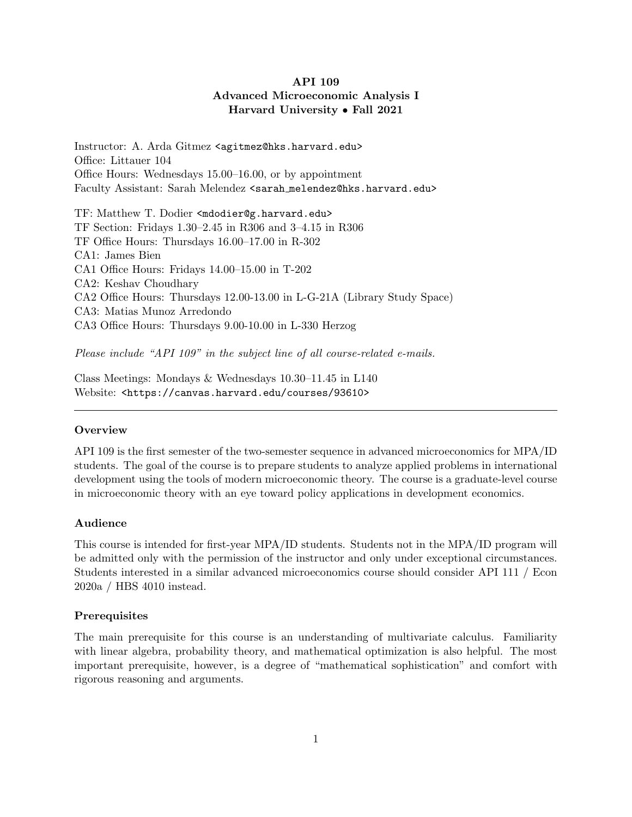# API 109 Advanced Microeconomic Analysis I Harvard University • Fall 2021

Instructor: A. Arda Gitmez <agitmez@hks.harvard.edu> Office: Littauer 104 Office Hours: Wednesdays 15.00–16.00, or by appointment Faculty Assistant: Sarah Melendez <sarah melendez@hks.harvard.edu>

TF: Matthew T. Dodier <mdodier@g.harvard.edu> TF Section: Fridays 1.30–2.45 in R306 and 3–4.15 in R306 TF Office Hours: Thursdays 16.00–17.00 in R-302 CA1: James Bien CA1 Office Hours: Fridays 14.00–15.00 in T-202 CA2: Keshav Choudhary CA2 Office Hours: Thursdays 12.00-13.00 in L-G-21A (Library Study Space) CA3: Matias Munoz Arredondo CA3 Office Hours: Thursdays 9.00-10.00 in L-330 Herzog

Please include "API 109" in the subject line of all course-related e-mails.

Class Meetings: Mondays & Wednesdays 10.30–11.45 in L140 Website: <https://canvas.harvard.edu/courses/93610>

# **Overview**

API 109 is the first semester of the two-semester sequence in advanced microeconomics for MPA/ID students. The goal of the course is to prepare students to analyze applied problems in international development using the tools of modern microeconomic theory. The course is a graduate-level course in microeconomic theory with an eye toward policy applications in development economics.

# Audience

This course is intended for first-year MPA/ID students. Students not in the MPA/ID program will be admitted only with the permission of the instructor and only under exceptional circumstances. Students interested in a similar advanced microeconomics course should consider API 111 / Econ 2020a / HBS 4010 instead.

# Prerequisites

The main prerequisite for this course is an understanding of multivariate calculus. Familiarity with linear algebra, probability theory, and mathematical optimization is also helpful. The most important prerequisite, however, is a degree of "mathematical sophistication" and comfort with rigorous reasoning and arguments.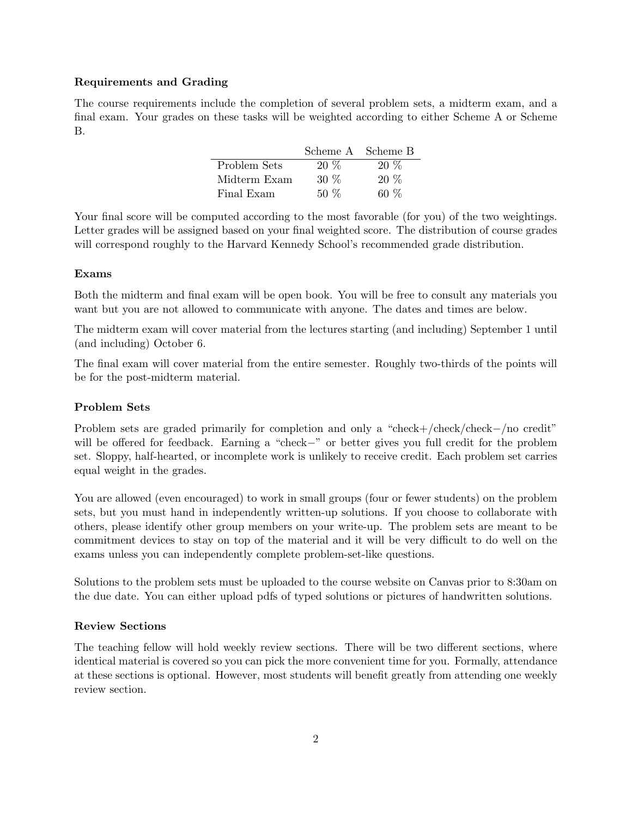# Requirements and Grading

The course requirements include the completion of several problem sets, a midterm exam, and a final exam. Your grades on these tasks will be weighted according to either Scheme A or Scheme B.

|              |        | Scheme A Scheme B |
|--------------|--------|-------------------|
| Problem Sets | $20\%$ | $20\%$            |
| Midterm Exam | $30\%$ | $20\%$            |
| Final Exam   | $50\%$ | ሬሀ ለማ             |

Your final score will be computed according to the most favorable (for you) of the two weightings. Letter grades will be assigned based on your final weighted score. The distribution of course grades will correspond roughly to the Harvard Kennedy School's recommended grade distribution.

# Exams

Both the midterm and final exam will be open book. You will be free to consult any materials you want but you are not allowed to communicate with anyone. The dates and times are below.

The midterm exam will cover material from the lectures starting (and including) September 1 until (and including) October 6.

The final exam will cover material from the entire semester. Roughly two-thirds of the points will be for the post-midterm material.

# Problem Sets

Problem sets are graded primarily for completion and only a "check+/check/check−/no credit" will be offered for feedback. Earning a "check−" or better gives you full credit for the problem set. Sloppy, half-hearted, or incomplete work is unlikely to receive credit. Each problem set carries equal weight in the grades.

You are allowed (even encouraged) to work in small groups (four or fewer students) on the problem sets, but you must hand in independently written-up solutions. If you choose to collaborate with others, please identify other group members on your write-up. The problem sets are meant to be commitment devices to stay on top of the material and it will be very difficult to do well on the exams unless you can independently complete problem-set-like questions.

Solutions to the problem sets must be uploaded to the course website on Canvas prior to 8:30am on the due date. You can either upload pdfs of typed solutions or pictures of handwritten solutions.

## Review Sections

The teaching fellow will hold weekly review sections. There will be two different sections, where identical material is covered so you can pick the more convenient time for you. Formally, attendance at these sections is optional. However, most students will benefit greatly from attending one weekly review section.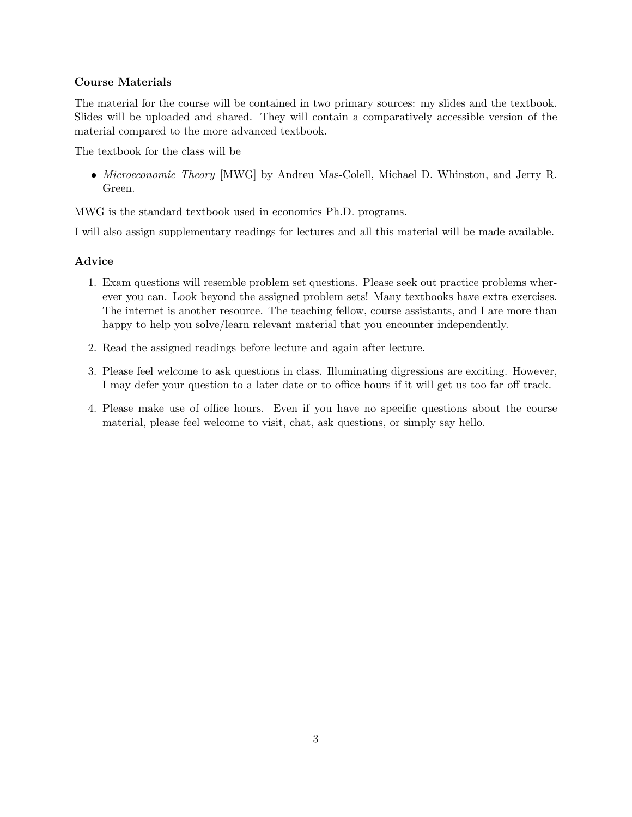# Course Materials

The material for the course will be contained in two primary sources: my slides and the textbook. Slides will be uploaded and shared. They will contain a comparatively accessible version of the material compared to the more advanced textbook.

The textbook for the class will be

• Microeconomic Theory [MWG] by Andreu Mas-Colell, Michael D. Whinston, and Jerry R. Green.

MWG is the standard textbook used in economics Ph.D. programs.

I will also assign supplementary readings for lectures and all this material will be made available.

# Advice

- 1. Exam questions will resemble problem set questions. Please seek out practice problems wherever you can. Look beyond the assigned problem sets! Many textbooks have extra exercises. The internet is another resource. The teaching fellow, course assistants, and I are more than happy to help you solve/learn relevant material that you encounter independently.
- 2. Read the assigned readings before lecture and again after lecture.
- 3. Please feel welcome to ask questions in class. Illuminating digressions are exciting. However, I may defer your question to a later date or to office hours if it will get us too far off track.
- 4. Please make use of office hours. Even if you have no specific questions about the course material, please feel welcome to visit, chat, ask questions, or simply say hello.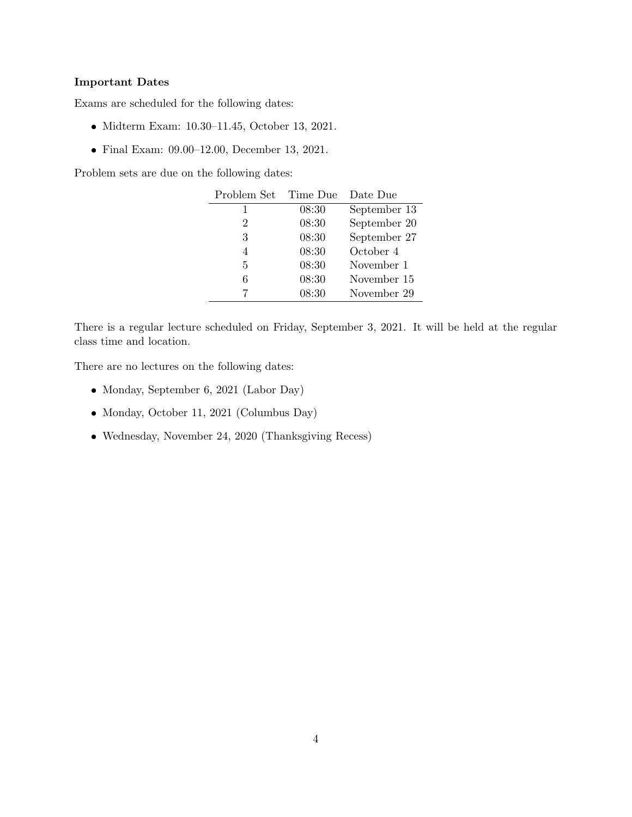# Important Dates

Exams are scheduled for the following dates:

- Midterm Exam: 10.30–11.45, October 13, 2021.
- Final Exam: 09.00–12.00, December 13, 2021.

Problem sets are due on the following dates:

| Problem Set | Time Due | Date Due     |
|-------------|----------|--------------|
|             | 08:30    | September 13 |
| 2           | 08:30    | September 20 |
| 3           | 08:30    | September 27 |
| 4           | 08:30    | October 4    |
| 5           | 08:30    | November 1   |
| 6           | 08:30    | November 15  |
|             | 08:30    | November 29  |

There is a regular lecture scheduled on Friday, September 3, 2021. It will be held at the regular class time and location.

There are no lectures on the following dates:

- Monday, September 6, 2021 (Labor Day)
- Monday, October 11, 2021 (Columbus Day)
- Wednesday, November 24, 2020 (Thanksgiving Recess)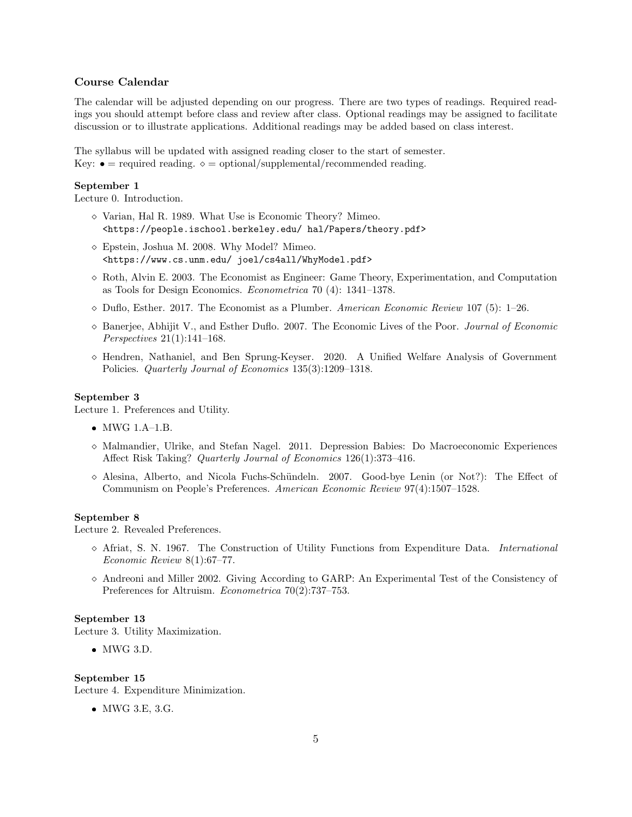# Course Calendar

The calendar will be adjusted depending on our progress. There are two types of readings. Required readings you should attempt before class and review after class. Optional readings may be assigned to facilitate discussion or to illustrate applications. Additional readings may be added based on class interest.

The syllabus will be updated with assigned reading closer to the start of semester. Key:  $\bullet$  = required reading.  $\diamond$  = optional/supplemental/recommended reading.

## September 1

Lecture 0. Introduction.

- $\diamond$  Varian, Hal R. 1989. What Use is Economic Theory? Mimeo. <https://people.ischool.berkeley.edu/ hal/Papers/theory.pdf>
- $\diamond$  Epstein, Joshua M. 2008. Why Model? Mimeo. <https://www.cs.unm.edu/ joel/cs4all/WhyModel.pdf>
- $\Diamond$  Roth, Alvin E. 2003. The Economist as Engineer: Game Theory, Experimentation, and Computation as Tools for Design Economics. Econometrica 70 (4): 1341–1378.
- $\diamond$  Duflo, Esther. 2017. The Economist as a Plumber. American Economic Review 107 (5): 1–26.
- ⋄ Banerjee, Abhijit V., and Esther Duflo. 2007. The Economic Lives of the Poor. Journal of Economic Perspectives 21(1):141–168.
- ⋄ Hendren, Nathaniel, and Ben Sprung-Keyser. 2020. A Unified Welfare Analysis of Government Policies. Quarterly Journal of Economics 135(3):1209–1318.

## September 3

Lecture 1. Preferences and Utility.

- MWG 1.A–1.B.
- ⋄ Malmandier, Ulrike, and Stefan Nagel. 2011. Depression Babies: Do Macroeconomic Experiences Affect Risk Taking? Quarterly Journal of Economics 126(1):373–416.
- $\diamond$  Alesina, Alberto, and Nicola Fuchs-Schündeln. 2007. Good-bye Lenin (or Not?): The Effect of Communism on People's Preferences. American Economic Review 97(4):1507–1528.

## September 8

Lecture 2. Revealed Preferences.

- ⋄ Afriat, S. N. 1967. The Construction of Utility Functions from Expenditure Data. International Economic Review 8(1):67–77.
- ⋄ Andreoni and Miller 2002. Giving According to GARP: An Experimental Test of the Consistency of Preferences for Altruism. Econometrica 70(2):737–753.

## September 13

Lecture 3. Utility Maximization.

 $\bullet$  MWG 3.D.

# September 15

Lecture 4. Expenditure Minimization.

MWG 3.E, 3.G.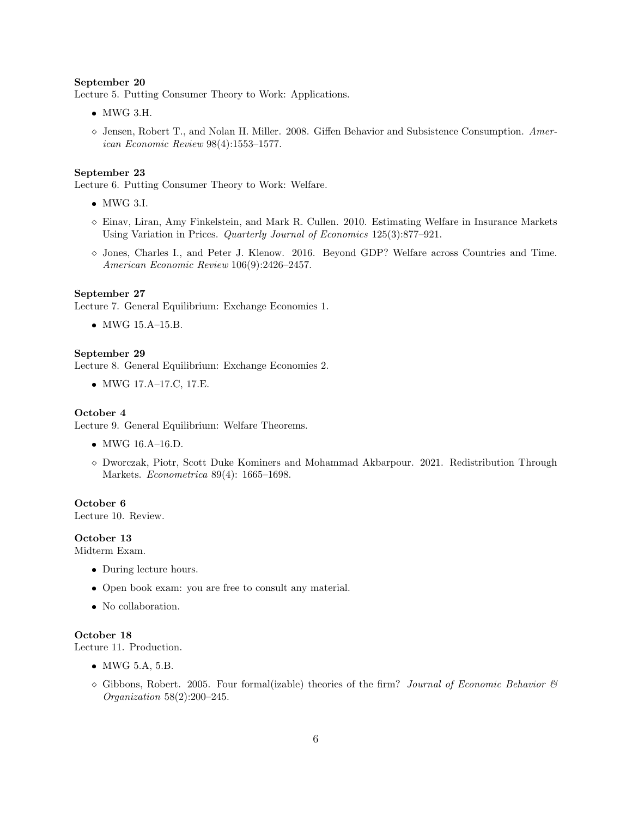## September 20

Lecture 5. Putting Consumer Theory to Work: Applications.

- MWG 3.H.
- ⋄ Jensen, Robert T., and Nolan H. Miller. 2008. Giffen Behavior and Subsistence Consumption. American Economic Review 98(4):1553–1577.

## September 23

Lecture 6. Putting Consumer Theory to Work: Welfare.

- MWG 3.I.
- $\diamond$  Einav, Liran, Amy Finkelstein, and Mark R. Cullen. 2010. Estimating Welfare in Insurance Markets Using Variation in Prices. Quarterly Journal of Economics 125(3):877–921.
- ⋄ Jones, Charles I., and Peter J. Klenow. 2016. Beyond GDP? Welfare across Countries and Time. American Economic Review 106(9):2426–2457.

#### September 27

Lecture 7. General Equilibrium: Exchange Economies 1.

MWG 15.A–15.B.

#### September 29

Lecture 8. General Equilibrium: Exchange Economies 2.

MWG 17.A–17.C, 17.E.

## October 4

Lecture 9. General Equilibrium: Welfare Theorems.

- MWG 16.A–16.D.
- ⋄ Dworczak, Piotr, Scott Duke Kominers and Mohammad Akbarpour. 2021. Redistribution Through Markets. Econometrica 89(4): 1665–1698.

#### October 6

Lecture 10. Review.

# October 13

Midterm Exam.

- During lecture hours.
- Open book exam: you are free to consult any material.
- No collaboration.

## October 18

Lecture 11. Production.

- MWG 5.A, 5.B.
- $\Diamond$  Gibbons, Robert. 2005. Four formal(izable) theories of the firm? Journal of Economic Behavior  $\mathcal{B}'$ Organization 58(2):200–245.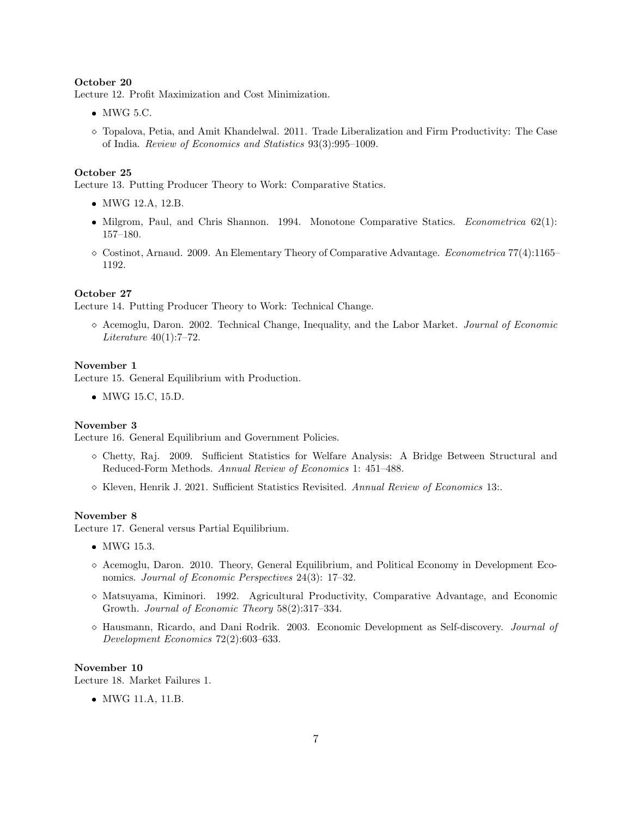## October 20

Lecture 12. Profit Maximization and Cost Minimization.

- $\bullet$  MWG 5.C.
- ⋄ Topalova, Petia, and Amit Khandelwal. 2011. Trade Liberalization and Firm Productivity: The Case of India. Review of Economics and Statistics 93(3):995–1009.

#### October 25

Lecture 13. Putting Producer Theory to Work: Comparative Statics.

- MWG 12.A, 12.B.
- Milgrom, Paul, and Chris Shannon. 1994. Monotone Comparative Statics. Econometrica 62(1): 157–180.
- $\Diamond$  Costinot, Arnaud. 2009. An Elementary Theory of Comparative Advantage. *Econometrica* 77(4):1165– 1192.

## October 27

Lecture 14. Putting Producer Theory to Work: Technical Change.

⋄ Acemoglu, Daron. 2002. Technical Change, Inequality, and the Labor Market. Journal of Economic Literature  $40(1)$ :7-72.

## November 1

Lecture 15. General Equilibrium with Production.

MWG 15.C, 15.D.

## November 3

Lecture 16. General Equilibrium and Government Policies.

- ⋄ Chetty, Raj. 2009. Sufficient Statistics for Welfare Analysis: A Bridge Between Structural and Reduced-Form Methods. Annual Review of Economics 1: 451–488.
- ⋄ Kleven, Henrik J. 2021. Sufficient Statistics Revisited. Annual Review of Economics 13:.

# November 8

Lecture 17. General versus Partial Equilibrium.

- MWG 15.3.
- ⋄ Acemoglu, Daron. 2010. Theory, General Equilibrium, and Political Economy in Development Economics. Journal of Economic Perspectives 24(3): 17–32.
- ⋄ Matsuyama, Kiminori. 1992. Agricultural Productivity, Comparative Advantage, and Economic Growth. Journal of Economic Theory 58(2):317–334.
- ⋄ Hausmann, Ricardo, and Dani Rodrik. 2003. Economic Development as Self-discovery. Journal of Development Economics 72(2):603–633.

#### November 10

Lecture 18. Market Failures 1.

MWG 11.A, 11.B.